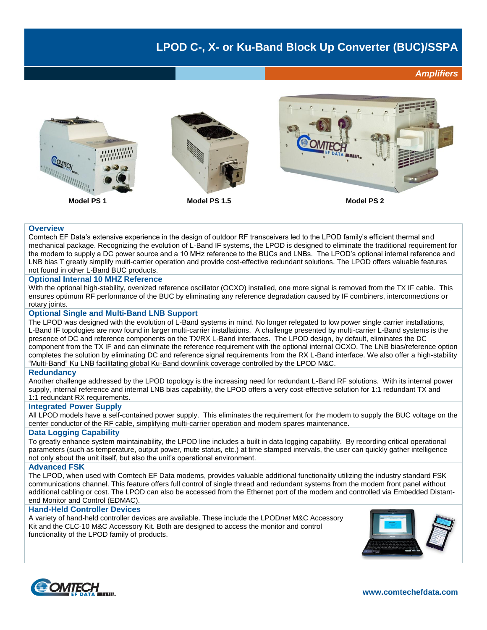## **LPOD C-, X- or Ku-Band Block Up Converter (BUC)/SSPA**

*Amplifiers*



## **Overview**

Comtech EF Data's extensive experience in the design of outdoor RF transceivers led to the LPOD family's efficient thermal and mechanical package. Recognizing the evolution of L-Band IF systems, the LPOD is designed to eliminate the traditional requirement for the modem to supply a DC power source and a 10 MHz reference to the BUCs and LNBs. The LPOD's optional internal reference and LNB bias T greatly simplify multi-carrier operation and provide cost-effective redundant solutions. The LPOD offers valuable features not found in other L-Band BUC products.

#### **Optional Internal 10 MHZ Reference**

With the optional high-stability, ovenized reference oscillator (OCXO) installed, one more signal is removed from the TX IF cable. This ensures optimum RF performance of the BUC by eliminating any reference degradation caused by IF combiners, interconnections or rotary joints.

### **Optional Single and Multi-Band LNB Support**

The LPOD was designed with the evolution of L-Band systems in mind. No longer relegated to low power single carrier installations, L-Band IF topologies are now found in larger multi-carrier installations. A challenge presented by multi-carrier L-Band systems is the presence of DC and reference components on the TX/RX L-Band interfaces. The LPOD design, by default, eliminates the DC component from the TX IF and can eliminate the reference requirement with the optional internal OCXO. The LNB bias/reference option completes the solution by eliminating DC and reference signal requirements from the RX L-Band interface. We also offer a high-stability "Multi-Band" Ku LNB facilitating global Ku-Band downlink coverage controlled by the LPOD M&C.

#### **Redundancy**

Another challenge addressed by the LPOD topology is the increasing need for redundant L-Band RF solutions. With its internal power supply, internal reference and internal LNB bias capability, the LPOD offers a very cost-effective solution for 1:1 redundant TX and 1:1 redundant RX requirements.

#### **Integrated Power Supply**

All LPOD models have a self-contained power supply. This eliminates the requirement for the modem to supply the BUC voltage on the center conductor of the RF cable, simplifying multi-carrier operation and modem spares maintenance.

### **Data Logging Capability**

To greatly enhance system maintainability, the LPOD line includes a built in data logging capability. By recording critical operational parameters (such as temperature, output power, mute status, etc.) at time stamped intervals, the user can quickly gather intelligence not only about the unit itself, but also the unit's operational environment.

#### **Advanced FSK**

The LPOD, when used with Comtech EF Data modems, provides valuable additional functionality utilizing the industry standard FSK communications channel. This feature offers full control of single thread and redundant systems from the modem front panel without additional cabling or cost. The LPOD can also be accessed from the Ethernet port of the modem and controlled via Embedded Distantend Monitor and Control (EDMAC).

## **Hand-Held Controller Devices**

A variety of hand-held controller devices are available. These include the LPOD*net* M&C Accessory Kit and the CLC-10 M&C Accessory Kit. Both are designed to access the monitor and control functionality of the LPOD family of products.